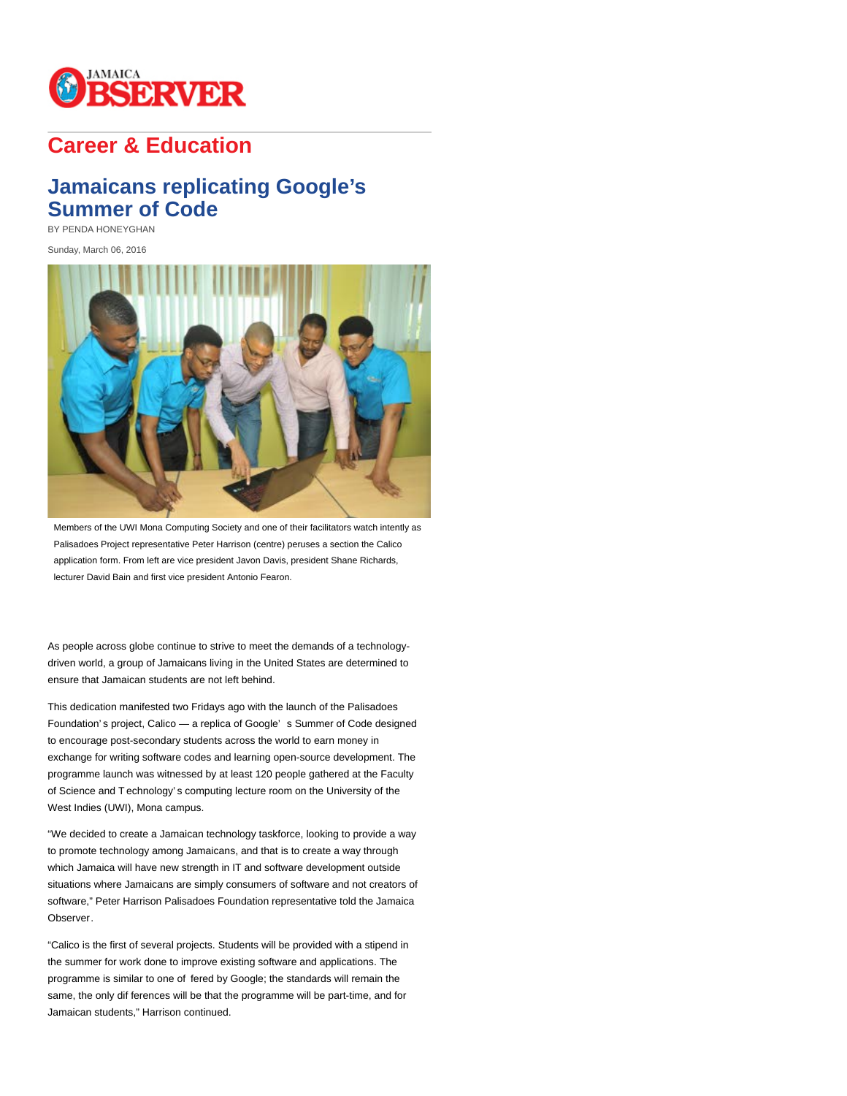

## **Career & Education**

## **Jamaicans replicating Google's Summer of Code**

BY PENDA HONEYGHAN

Sunday, March 06, 2016



Members of the UWI Mona Computing Society and one of their facilitators watch intently as Palisadoes Project representative Peter Harrison (centre) peruses a section the Calico application form. From left are vice president Javon Davis, president Shane Richards, lecturer David Bain and first vice president Antonio Fearon.

As people across globe continue to strive to meet the demands of a technologydriven world, a group of Jamaicans living in the United States are determined to ensure that Jamaican students are not left behind.

This dedication manifested two Fridays ago with the launch of the Palisadoes Foundation' s project, Calico — a replica of Google' s Summer of Code designed to encourage post-secondary students across the world to earn money in exchange for writing software codes and learning open-source development. The programme launch was witnessed by at least 120 people gathered at the Faculty of Science and T echnology' s computing lecture room on the University of the West Indies (UWI), Mona campus.

"We decided to create a Jamaican technology taskforce, looking to provide a way to promote technology among Jamaicans, and that is to create a way through which Jamaica will have new strength in IT and software development outside situations where Jamaicans are simply consumers of software and not creators of software," Peter Harrison Palisadoes Foundation representative told the Jamaica Observer.

"Calico is the first of several projects. Students will be provided with a stipend in the summer for work done to improve existing software and applications. The programme is similar to one of fered by Google; the standards will remain the same, the only dif ferences will be that the programme will be part-time, and for Jamaican students," Harrison continued.